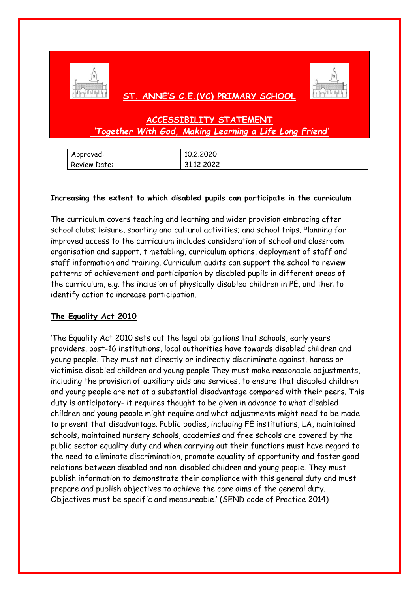

# **ST. ANNE'S C.E.(VC) PRIMARY SCHOOL**



# **ACCESSIBILITY STATEMENT** *'Together With God, Making Learning a Life Long Friend'*

| Approved:    | 10.2.2020  |
|--------------|------------|
| Review Date: | 31.12.2022 |

### **Increasing the extent to which disabled pupils can participate in the curriculum**

The curriculum covers teaching and learning and wider provision embracing after school clubs; leisure, sporting and cultural activities; and school trips. Planning for improved access to the curriculum includes consideration of school and classroom organisation and support, timetabling, curriculum options, deployment of staff and staff information and training. Curriculum audits can support the school to review patterns of achievement and participation by disabled pupils in different areas of the curriculum, e.g. the inclusion of physically disabled children in PE, and then to identify action to increase participation.

## **The Equality Act 2010**

'The Equality Act 2010 sets out the legal obligations that schools, early years providers, post-16 institutions, local authorities have towards disabled children and young people. They must not directly or indirectly discriminate against, harass or victimise disabled children and young people They must make reasonable adjustments, including the provision of auxiliary aids and services, to ensure that disabled children and young people are not at a substantial disadvantage compared with their peers. This duty is anticipatory- it requires thought to be given in advance to what disabled children and young people might require and what adjustments might need to be made to prevent that disadvantage. Public bodies, including FE institutions, LA, maintained schools, maintained nursery schools, academies and free schools are covered by the public sector equality duty and when carrying out their functions must have regard to the need to eliminate discrimination, promote equality of opportunity and foster good relations between disabled and non-disabled children and young people. They must publish information to demonstrate their compliance with this general duty and must prepare and publish objectives to achieve the core aims of the general duty. Objectives must be specific and measureable.' (SEND code of Practice 2014)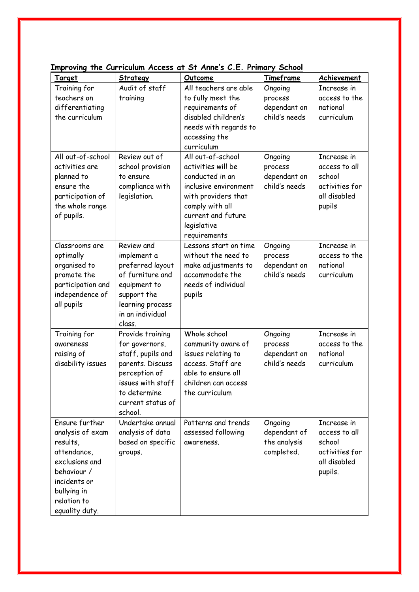| Enploying the surrealant Acc |                   | r                     |               |                |
|------------------------------|-------------------|-----------------------|---------------|----------------|
| <u>Target</u>                | Strategy          | Outcome               | Timeframe     | Achievement    |
| Training for                 | Audit of staff    | All teachers are able | Ongoing       | Increase in    |
| teachers on                  | training          | to fully meet the     | process       | access to the  |
| differentiating              |                   | requirements of       | dependant on  | national       |
| the curriculum               |                   | disabled children's   | child's needs | curriculum     |
|                              |                   | needs with regards to |               |                |
|                              |                   | accessing the         |               |                |
|                              |                   | curriculum            |               |                |
| All out-of-school            | Review out of     | All out-of-school     | Ongoing       | Increase in    |
| activities are               | school provision  | activities will be    | process       | access to all  |
| planned to                   | to ensure         | conducted in an       | dependant on  | school         |
| ensure the                   | compliance with   | inclusive environment | child's needs | activities for |
| participation of             | legislation.      | with providers that   |               | all disabled   |
| the whole range              |                   | comply with all       |               | pupils         |
| of pupils.                   |                   | current and future    |               |                |
|                              |                   | legislative           |               |                |
|                              |                   | requirements          |               |                |
| Classrooms are               | Review and        | Lessons start on time | Ongoing       | Increase in    |
| optimally                    | implement a       | without the need to   | process       | access to the  |
| organised to                 | preferred layout  | make adjustments to   | dependant on  | national       |
| promote the                  | of furniture and  | accommodate the       | child's needs | curriculum     |
| participation and            | equipment to      | needs of individual   |               |                |
| independence of              | support the       | pupils                |               |                |
| all pupils                   | learning process  |                       |               |                |
|                              | in an individual  |                       |               |                |
|                              | class.            |                       |               |                |
| Training for                 | Provide training  | Whole school          | Ongoing       | Increase in    |
| awareness                    | for governors,    | community aware of    | process       | access to the  |
| raising of                   | staff, pupils and | issues relating to    | dependant on  | national       |
| disability issues            | parents. Discuss  | access. Staff are     | child's needs | curriculum     |
|                              | perception of     | able to ensure all    |               |                |
|                              | issues with staff | children can access.  |               |                |
|                              | to determine      | the curriculum        |               |                |
|                              | current status of |                       |               |                |
|                              | school.           |                       |               |                |
| Ensure further               | Undertake annual  | Patterns and trends   | Ongoing       | Increase in    |
| analysis of exam             | analysis of data  | assessed following    | dependant of  | access to all  |
| results,                     | based on specific | awareness.            | the analysis  | school         |
| attendance,                  |                   |                       |               | activities for |
| exclusions and               | groups.           |                       | completed.    | all disabled   |
| behaviour /                  |                   |                       |               |                |
|                              |                   |                       |               | pupils.        |
| incidents or                 |                   |                       |               |                |
| bullying in                  |                   |                       |               |                |
| relation to                  |                   |                       |               |                |
| equality duty.               |                   |                       |               |                |

## **Improving the Curriculum Access at St Anne's C.E. Primary School**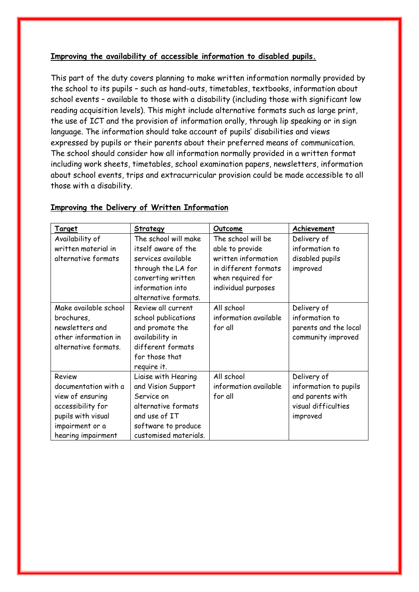## **Improving the availability of accessible information to disabled pupils.**

This part of the duty covers planning to make written information normally provided by the school to its pupils – such as hand-outs, timetables, textbooks, information about school events – available to those with a disability (including those with significant low reading acquisition levels). This might include alternative formats such as large print, the use of ICT and the provision of information orally, through lip speaking or in sign language. The information should take account of pupils' disabilities and views expressed by pupils or their parents about their preferred means of communication. The school should consider how all information normally provided in a written format including work sheets, timetables, school examination papers, newsletters, information about school events, trips and extracurricular provision could be made accessible to all those with a disability.

| <u>Target</u>         | Strategy              | Outcome               | Achievement           |
|-----------------------|-----------------------|-----------------------|-----------------------|
| Availability of       | The school will make  | The school will be    | Delivery of           |
| written material in   | itself aware of the   | able to provide       | information to        |
| alternative formats   | services available    | written information   | disabled pupils       |
|                       | through the LA for    | in different formats  | improved              |
|                       | converting written    | when required for     |                       |
|                       | information into      | individual purposes   |                       |
|                       | alternative formats.  |                       |                       |
| Make available school | Review all current    | All school            | Delivery of           |
| brochures,            | school publications   | information available | information to        |
| newsletters and       | and promote the       | for all               | parents and the local |
| other information in  | availability in       |                       | community improved    |
| alternative formats.  | different formats     |                       |                       |
|                       | for those that        |                       |                       |
|                       | require it.           |                       |                       |
| Review                | Liaise with Hearing   | All school            | Delivery of           |
| documentation with a  | and Vision Support    | information available | information to pupils |
| view of ensuring      | Service on            | for all               | and parents with      |
| accessibility for     | alternative formats   |                       | visual difficulties   |
| pupils with visual    | and use of IT         |                       | improved              |
| impairment or a       | software to produce   |                       |                       |
| hearing impairment    | customised materials. |                       |                       |

#### **Improving the Delivery of Written Information**